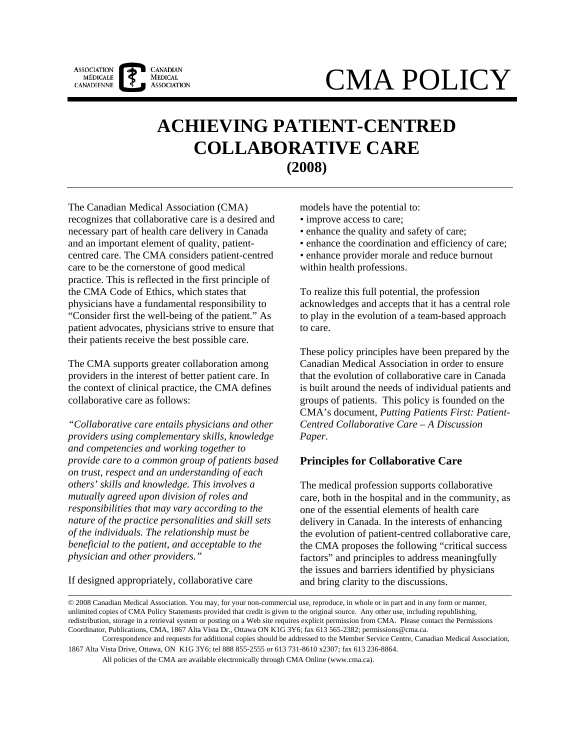

# CMA POLICY

# **ACHIEVING PATIENT-CENTRED COLLABORATIVE CARE (2008)**

The Canadian Medical Association (CMA) recognizes that collaborative care is a desired and necessary part of health care delivery in Canada and an important element of quality, patientcentred care. The CMA considers patient-centred care to be the cornerstone of good medical practice. This is reflected in the first principle of the CMA Code of Ethics, which states that physicians have a fundamental responsibility to "Consider first the well-being of the patient." As patient advocates, physicians strive to ensure that their patients receive the best possible care.

The CMA supports greater collaboration among providers in the interest of better patient care. In the context of clinical practice, the CMA defines collaborative care as follows:

*"Collaborative care entails physicians and other providers using complementary skills, knowledge and competencies and working together to provide care to a common group of patients based on trust, respect and an understanding of each others' skills and knowledge. This involves a mutually agreed upon division of roles and responsibilities that may vary according to the nature of the practice personalities and skill sets of the individuals. The relationship must be beneficial to the patient, and acceptable to the physician and other providers."* 

models have the potential to:

- improve access to care;
- enhance the quality and safety of care;
- enhance the coordination and efficiency of care;
- enhance provider morale and reduce burnout within health professions.

To realize this full potential, the profession acknowledges and accepts that it has a central role to play in the evolution of a team-based approach to care.

These policy principles have been prepared by the Canadian Medical Association in order to ensure that the evolution of collaborative care in Canada is built around the needs of individual patients and groups of patients. This policy is founded on the CMA's document, *Putting Patients First: Patient-Centred Collaborative Care – A Discussion Paper*.

# **Principles for Collaborative Care**

The medical profession supports collaborative care, both in the hospital and in the community, as one of the essential elements of health care delivery in Canada. In the interests of enhancing the evolution of patient-centred collaborative care, the CMA proposes the following "critical success factors" and principles to address meaningfully the issues and barriers identified by physicians and bring clarity to the discussions.

If designed appropriately, collaborative care

All policies of the CMA are available electronically through CMA Online (www.cma.ca).

<sup>© 2008</sup> Canadian Medical Association. You may, for your non-commercial use, reproduce, in whole or in part and in any form or manner, unlimited copies of CMA Policy Statements provided that credit is given to the original source. Any other use, including republishing, redistribution, storage in a retrieval system or posting on a Web site requires explicit permission from CMA. Please contact the Permissions Coordinator, Publications, CMA, 1867 Alta Vista Dr., Ottawa ON K1G 3Y6; fax 613 565-2382; permissions@cma.ca.

Correspondence and requests for additional copies should be addressed to the Member Service Centre, Canadian Medical Association, 1867 Alta Vista Drive, Ottawa, ON K1G 3Y6; tel 888 855-2555 or 613 731-8610 x2307; fax 613 236-8864.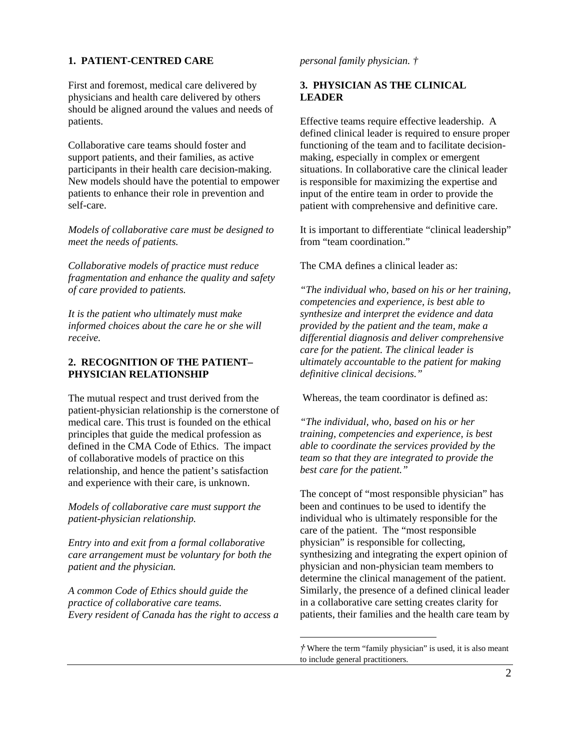#### **1. PATIENT-CENTRED CARE**

First and foremost, medical care delivered by physicians and health care delivered by others should be aligned around the values and needs of patients.

Collaborative care teams should foster and support patients, and their families, as active participants in their health care decision-making. New models should have the potential to empower patients to enhance their role in prevention and self-care.

*Models of collaborative care must be designed to meet the needs of patients.* 

*Collaborative models of practice must reduce fragmentation and enhance the quality and safety of care provided to patients.* 

*It is the patient who ultimately must make informed choices about the care he or she will receive.* 

#### **2. RECOGNITION OF THE PATIENT– PHYSICIAN RELATIONSHIP**

The mutual respect and trust derived from the patient-physician relationship is the cornerstone of medical care. This trust is founded on the ethical principles that guide the medical profession as defined in the CMA Code of Ethics. The impact of collaborative models of practice on this relationship, and hence the patient's satisfaction and experience with their care, is unknown.

*Models of collaborative care must support the patient-physician relationship.* 

*Entry into and exit from a formal collaborative care arrangement must be voluntary for both the patient and the physician.* 

*A common Code of Ethics should guide the practice of collaborative care teams. Every resident of Canada has the right to access a* 

#### *personal family physician. †*

## **3. PHYSICIAN AS THE CLINICAL LEADER**

Effective teams require effective leadership. A defined clinical leader is required to ensure proper functioning of the team and to facilitate decisionmaking, especially in complex or emergent situations. In collaborative care the clinical leader is responsible for maximizing the expertise and input of the entire team in order to provide the patient with comprehensive and definitive care.

It is important to differentiate "clinical leadership" from "team coordination"

The CMA defines a clinical leader as:

*"The individual who, based on his or her training, competencies and experience, is best able to synthesize and interpret the evidence and data provided by the patient and the team, make a differential diagnosis and deliver comprehensive care for the patient. The clinical leader is ultimately accountable to the patient for making definitive clinical decisions."* 

Whereas, the team coordinator is defined as:

*"The individual, who, based on his or her training, competencies and experience, is best able to coordinate the services provided by the team so that they are integrated to provide the best care for the patient."* 

The concept of "most responsible physician" has been and continues to be used to identify the individual who is ultimately responsible for the care of the patient. The "most responsible physician" is responsible for collecting, synthesizing and integrating the expert opinion of physician and non-physician team members to determine the clinical management of the patient. Similarly, the presence of a defined clinical leader in a collaborative care setting creates clarity for patients, their families and the health care team by

 $\overline{a}$ 

*<sup>†</sup>* Where the term "family physician" is used, it is also meant to include general practitioners.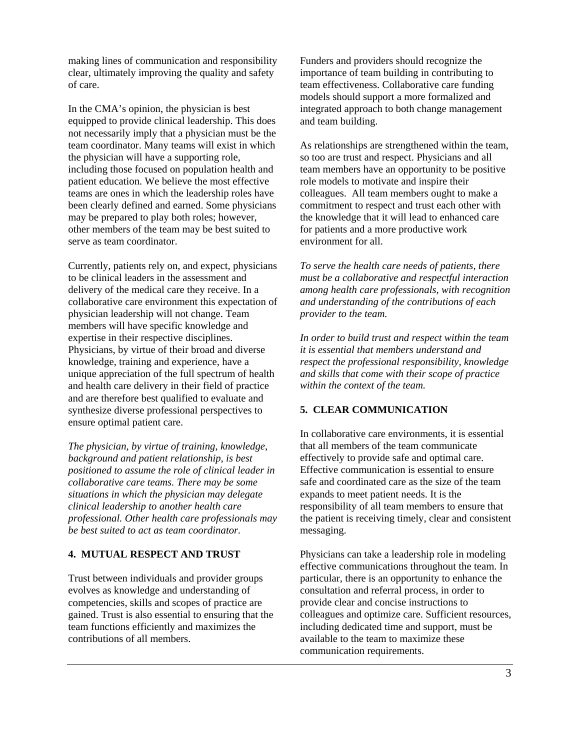making lines of communication and responsibility clear, ultimately improving the quality and safety of care.

In the CMA's opinion, the physician is best equipped to provide clinical leadership. This does not necessarily imply that a physician must be the team coordinator. Many teams will exist in which the physician will have a supporting role, including those focused on population health and patient education. We believe the most effective teams are ones in which the leadership roles have been clearly defined and earned. Some physicians may be prepared to play both roles; however, other members of the team may be best suited to serve as team coordinator.

Currently, patients rely on, and expect, physicians to be clinical leaders in the assessment and delivery of the medical care they receive. In a collaborative care environment this expectation of physician leadership will not change. Team members will have specific knowledge and expertise in their respective disciplines. Physicians, by virtue of their broad and diverse knowledge, training and experience, have a unique appreciation of the full spectrum of health and health care delivery in their field of practice and are therefore best qualified to evaluate and synthesize diverse professional perspectives to ensure optimal patient care.

*The physician, by virtue of training, knowledge, background and patient relationship, is best positioned to assume the role of clinical leader in collaborative care teams. There may be some situations in which the physician may delegate clinical leadership to another health care professional. Other health care professionals may be best suited to act as team coordinator.* 

# **4. MUTUAL RESPECT AND TRUST**

Trust between individuals and provider groups evolves as knowledge and understanding of competencies, skills and scopes of practice are gained. Trust is also essential to ensuring that the team functions efficiently and maximizes the contributions of all members.

Funders and providers should recognize the importance of team building in contributing to team effectiveness. Collaborative care funding models should support a more formalized and integrated approach to both change management and team building.

As relationships are strengthened within the team, so too are trust and respect. Physicians and all team members have an opportunity to be positive role models to motivate and inspire their colleagues. All team members ought to make a commitment to respect and trust each other with the knowledge that it will lead to enhanced care for patients and a more productive work environment for all.

*To serve the health care needs of patients, there must be a collaborative and respectful interaction among health care professionals, with recognition and understanding of the contributions of each provider to the team.* 

*In order to build trust and respect within the team it is essential that members understand and respect the professional responsibility, knowledge and skills that come with their scope of practice within the context of the team.* 

#### **5. CLEAR COMMUNICATION**

In collaborative care environments, it is essential that all members of the team communicate effectively to provide safe and optimal care. Effective communication is essential to ensure safe and coordinated care as the size of the team expands to meet patient needs. It is the responsibility of all team members to ensure that the patient is receiving timely, clear and consistent messaging.

Physicians can take a leadership role in modeling effective communications throughout the team. In particular, there is an opportunity to enhance the consultation and referral process, in order to provide clear and concise instructions to colleagues and optimize care. Sufficient resources, including dedicated time and support, must be available to the team to maximize these communication requirements.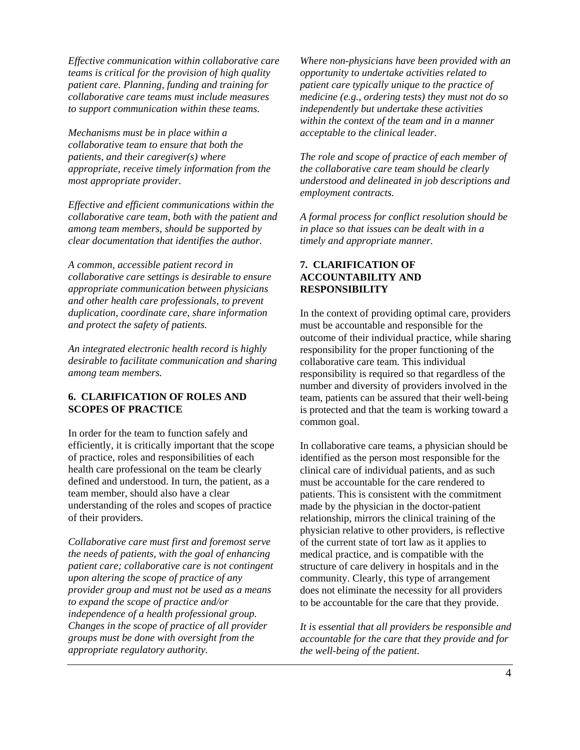*Effective communication within collaborative care teams is critical for the provision of high quality patient care. Planning, funding and training for collaborative care teams must include measures to support communication within these teams.* 

*Mechanisms must be in place within a collaborative team to ensure that both the patients, and their caregiver(s) where appropriate, receive timely information from the most appropriate provider.* 

*Effective and efficient communications within the collaborative care team, both with the patient and among team members, should be supported by clear documentation that identifies the author.* 

*A common, accessible patient record in collaborative care settings is desirable to ensure appropriate communication between physicians and other health care professionals, to prevent duplication, coordinate care, share information and protect the safety of patients.* 

*An integrated electronic health record is highly desirable to facilitate communication and sharing among team members.* 

#### **6. CLARIFICATION OF ROLES AND SCOPES OF PRACTICE**

In order for the team to function safely and efficiently, it is critically important that the scope of practice, roles and responsibilities of each health care professional on the team be clearly defined and understood. In turn, the patient, as a team member, should also have a clear understanding of the roles and scopes of practice of their providers.

*Collaborative care must first and foremost serve the needs of patients, with the goal of enhancing patient care; collaborative care is not contingent upon altering the scope of practice of any provider group and must not be used as a means to expand the scope of practice and/or independence of a health professional group. Changes in the scope of practice of all provider groups must be done with oversight from the appropriate regulatory authority.* 

*Where non-physicians have been provided with an opportunity to undertake activities related to patient care typically unique to the practice of medicine (e.g., ordering tests) they must not do so independently but undertake these activities within the context of the team and in a manner acceptable to the clinical leader.* 

*The role and scope of practice of each member of the collaborative care team should be clearly understood and delineated in job descriptions and employment contracts.* 

*A formal process for conflict resolution should be in place so that issues can be dealt with in a timely and appropriate manner.* 

#### **7. CLARIFICATION OF ACCOUNTABILITY AND RESPONSIBILITY**

In the context of providing optimal care, providers must be accountable and responsible for the outcome of their individual practice, while sharing responsibility for the proper functioning of the collaborative care team. This individual responsibility is required so that regardless of the number and diversity of providers involved in the team, patients can be assured that their well-being is protected and that the team is working toward a common goal.

In collaborative care teams, a physician should be identified as the person most responsible for the clinical care of individual patients, and as such must be accountable for the care rendered to patients. This is consistent with the commitment made by the physician in the doctor-patient relationship, mirrors the clinical training of the physician relative to other providers, is reflective of the current state of tort law as it applies to medical practice, and is compatible with the structure of care delivery in hospitals and in the community. Clearly, this type of arrangement does not eliminate the necessity for all providers to be accountable for the care that they provide.

*It is essential that all providers be responsible and accountable for the care that they provide and for the well-being of the patient.*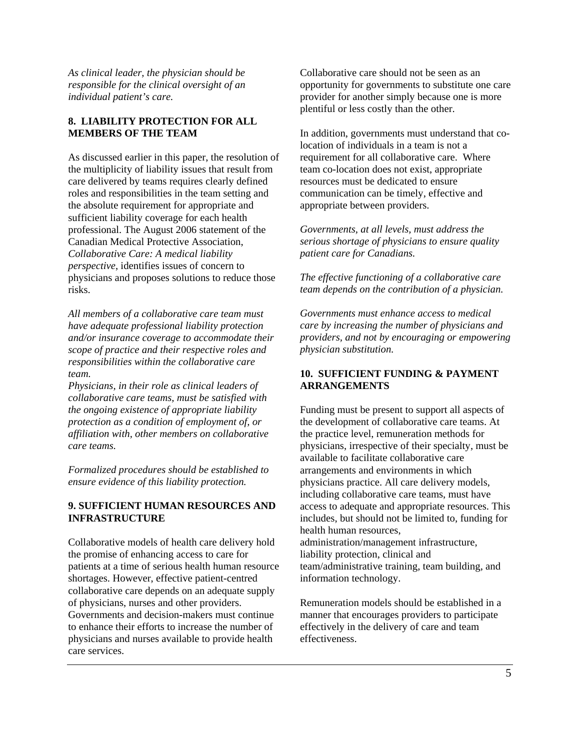*As clinical leader, the physician should be responsible for the clinical oversight of an individual patient's care.* 

## **8. LIABILITY PROTECTION FOR ALL MEMBERS OF THE TEAM**

As discussed earlier in this paper, the resolution of the multiplicity of liability issues that result from care delivered by teams requires clearly defined roles and responsibilities in the team setting and the absolute requirement for appropriate and sufficient liability coverage for each health professional. The August 2006 statement of the Canadian Medical Protective Association, *Collaborative Care: A medical liability perspective*, identifies issues of concern to physicians and proposes solutions to reduce those risks.

*All members of a collaborative care team must have adequate professional liability protection and/or insurance coverage to accommodate their scope of practice and their respective roles and responsibilities within the collaborative care team.* 

*Physicians, in their role as clinical leaders of collaborative care teams, must be satisfied with the ongoing existence of appropriate liability protection as a condition of employment of, or affiliation with, other members on collaborative care teams.* 

*Formalized procedures should be established to ensure evidence of this liability protection.* 

#### **9. SUFFICIENT HUMAN RESOURCES AND INFRASTRUCTURE**

Collaborative models of health care delivery hold the promise of enhancing access to care for patients at a time of serious health human resource shortages. However, effective patient-centred collaborative care depends on an adequate supply of physicians, nurses and other providers. Governments and decision-makers must continue to enhance their efforts to increase the number of physicians and nurses available to provide health care services.

Collaborative care should not be seen as an opportunity for governments to substitute one care provider for another simply because one is more plentiful or less costly than the other.

In addition, governments must understand that colocation of individuals in a team is not a requirement for all collaborative care. Where team co-location does not exist, appropriate resources must be dedicated to ensure communication can be timely, effective and appropriate between providers.

*Governments, at all levels, must address the serious shortage of physicians to ensure quality patient care for Canadians.* 

*The effective functioning of a collaborative care team depends on the contribution of a physician.* 

*Governments must enhance access to medical care by increasing the number of physicians and providers, and not by encouraging or empowering physician substitution.* 

# **10. SUFFICIENT FUNDING & PAYMENT ARRANGEMENTS**

Funding must be present to support all aspects of the development of collaborative care teams. At the practice level, remuneration methods for physicians, irrespective of their specialty, must be available to facilitate collaborative care arrangements and environments in which physicians practice. All care delivery models, including collaborative care teams, must have access to adequate and appropriate resources. This includes, but should not be limited to, funding for health human resources, administration/management infrastructure, liability protection, clinical and team/administrative training, team building, and information technology.

Remuneration models should be established in a manner that encourages providers to participate effectively in the delivery of care and team effectiveness.